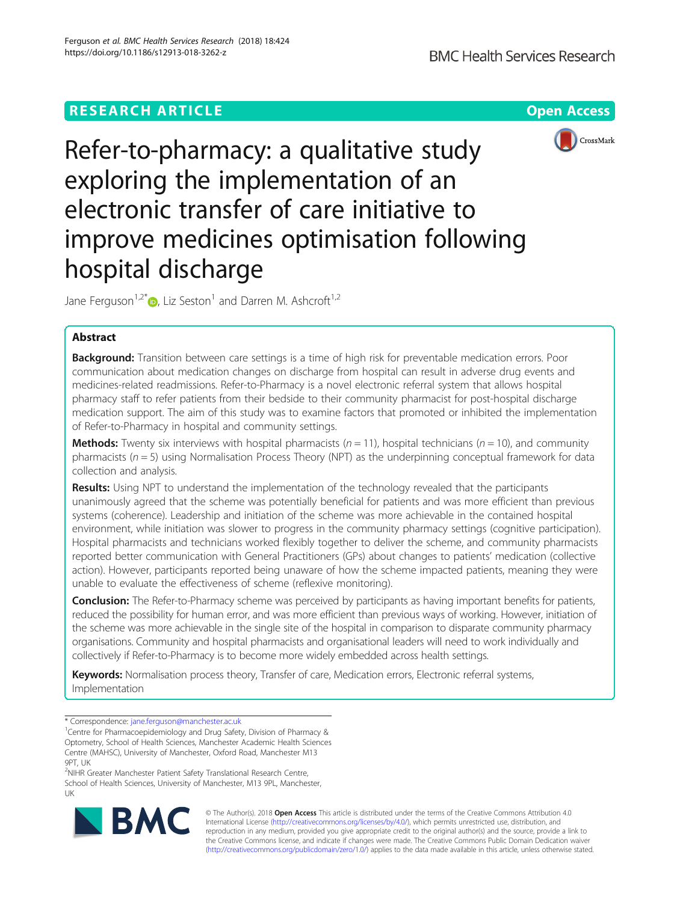# **RESEARCH ARTICLE Example 2018 12:30 THE Open Access**



# Refer-to-pharmacy: a qualitative study exploring the implementation of an electronic transfer of care initiative to improve medicines optimisation following hospital discharge

Jane Ferguson<sup>1,2[\\*](http://orcid.org/0000-0002-8129-8376)</sup> $\bullet$ , Liz Seston<sup>1</sup> and Darren M. Ashcroft<sup>1,2</sup>

# Abstract

**Background:** Transition between care settings is a time of high risk for preventable medication errors. Poor communication about medication changes on discharge from hospital can result in adverse drug events and medicines-related readmissions. Refer-to-Pharmacy is a novel electronic referral system that allows hospital pharmacy staff to refer patients from their bedside to their community pharmacist for post-hospital discharge medication support. The aim of this study was to examine factors that promoted or inhibited the implementation of Refer-to-Pharmacy in hospital and community settings.

**Methods:** Twenty six interviews with hospital pharmacists ( $n = 11$ ), hospital technicians ( $n = 10$ ), and community pharmacists ( $n = 5$ ) using Normalisation Process Theory (NPT) as the underpinning conceptual framework for data collection and analysis.

Results: Using NPT to understand the implementation of the technology revealed that the participants unanimously agreed that the scheme was potentially beneficial for patients and was more efficient than previous systems (coherence). Leadership and initiation of the scheme was more achievable in the contained hospital environment, while initiation was slower to progress in the community pharmacy settings (cognitive participation). Hospital pharmacists and technicians worked flexibly together to deliver the scheme, and community pharmacists reported better communication with General Practitioners (GPs) about changes to patients' medication (collective action). However, participants reported being unaware of how the scheme impacted patients, meaning they were unable to evaluate the effectiveness of scheme (reflexive monitoring).

**Conclusion:** The Refer-to-Pharmacy scheme was perceived by participants as having important benefits for patients, reduced the possibility for human error, and was more efficient than previous ways of working. However, initiation of the scheme was more achievable in the single site of the hospital in comparison to disparate community pharmacy organisations. Community and hospital pharmacists and organisational leaders will need to work individually and collectively if Refer-to-Pharmacy is to become more widely embedded across health settings.

Keywords: Normalisation process theory, Transfer of care, Medication errors, Electronic referral systems, Implementation

\* Correspondence: [jane.ferguson@manchester.ac.uk](mailto:jane.ferguson@manchester.ac.uk) <sup>1</sup>

<sup>2</sup>NIHR Greater Manchester Patient Safety Translational Research Centre, School of Health Sciences, University of Manchester, M13 9PL, Manchester, UK



© The Author(s). 2018 Open Access This article is distributed under the terms of the Creative Commons Attribution 4.0 International License [\(http://creativecommons.org/licenses/by/4.0/](http://creativecommons.org/licenses/by/4.0/)), which permits unrestricted use, distribution, and reproduction in any medium, provided you give appropriate credit to the original author(s) and the source, provide a link to the Creative Commons license, and indicate if changes were made. The Creative Commons Public Domain Dedication waiver [\(http://creativecommons.org/publicdomain/zero/1.0/](http://creativecommons.org/publicdomain/zero/1.0/)) applies to the data made available in this article, unless otherwise stated.

<sup>&</sup>lt;sup>1</sup> Centre for Pharmacoepidemiology and Drug Safety, Division of Pharmacy & Optometry, School of Health Sciences, Manchester Academic Health Sciences Centre (MAHSC), University of Manchester, Oxford Road, Manchester M13 9PT, UK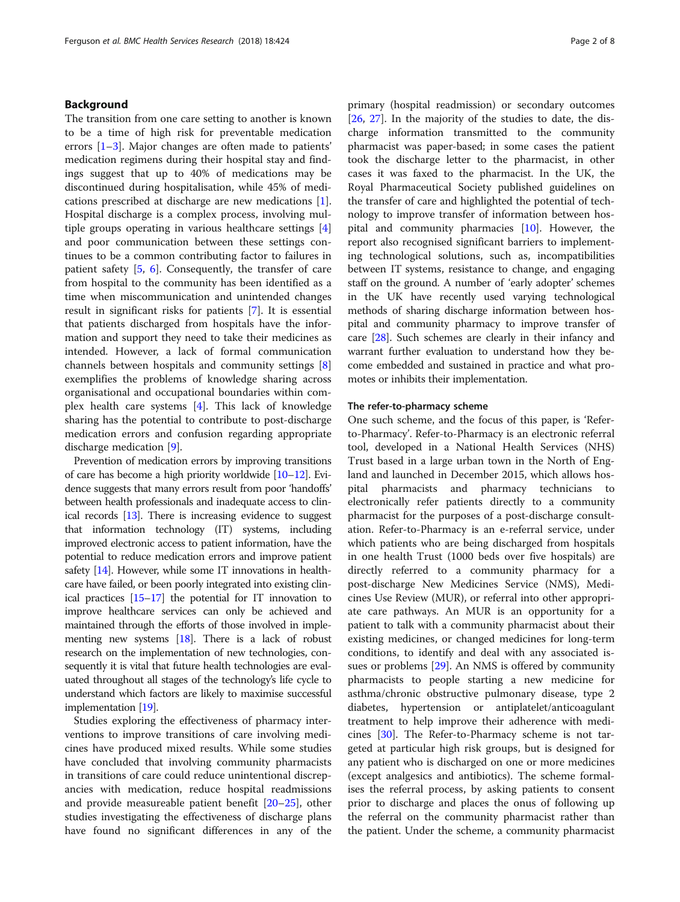# Background

The transition from one care setting to another is known to be a time of high risk for preventable medication errors [[1](#page-6-0)–[3\]](#page-6-0). Major changes are often made to patients' medication regimens during their hospital stay and findings suggest that up to 40% of medications may be discontinued during hospitalisation, while 45% of medications prescribed at discharge are new medications [\[1](#page-6-0)]. Hospital discharge is a complex process, involving multiple groups operating in various healthcare settings [\[4](#page-6-0)] and poor communication between these settings continues to be a common contributing factor to failures in patient safety [[5,](#page-6-0) [6](#page-6-0)]. Consequently, the transfer of care from hospital to the community has been identified as a time when miscommunication and unintended changes result in significant risks for patients [\[7](#page-6-0)]. It is essential that patients discharged from hospitals have the information and support they need to take their medicines as intended. However, a lack of formal communication channels between hospitals and community settings [\[8](#page-6-0)] exemplifies the problems of knowledge sharing across organisational and occupational boundaries within complex health care systems [\[4](#page-6-0)]. This lack of knowledge sharing has the potential to contribute to post-discharge medication errors and confusion regarding appropriate discharge medication [[9](#page-6-0)].

Prevention of medication errors by improving transitions of care has become a high priority worldwide [[10](#page-6-0)–[12](#page-6-0)]. Evidence suggests that many errors result from poor 'handoffs' between health professionals and inadequate access to clinical records [[13](#page-6-0)]. There is increasing evidence to suggest that information technology (IT) systems, including improved electronic access to patient information, have the potential to reduce medication errors and improve patient safety [\[14](#page-6-0)]. However, while some IT innovations in healthcare have failed, or been poorly integrated into existing clinical practices [[15](#page-6-0)–[17](#page-6-0)] the potential for IT innovation to improve healthcare services can only be achieved and maintained through the efforts of those involved in implementing new systems [\[18\]](#page-6-0). There is a lack of robust research on the implementation of new technologies, consequently it is vital that future health technologies are evaluated throughout all stages of the technology's life cycle to understand which factors are likely to maximise successful implementation [\[19\]](#page-6-0).

Studies exploring the effectiveness of pharmacy interventions to improve transitions of care involving medicines have produced mixed results. While some studies have concluded that involving community pharmacists in transitions of care could reduce unintentional discrepancies with medication, reduce hospital readmissions and provide measureable patient benefit [[20](#page-6-0)–[25](#page-6-0)], other studies investigating the effectiveness of discharge plans have found no significant differences in any of the primary (hospital readmission) or secondary outcomes [[26,](#page-6-0) [27\]](#page-6-0). In the majority of the studies to date, the discharge information transmitted to the community pharmacist was paper-based; in some cases the patient took the discharge letter to the pharmacist, in other cases it was faxed to the pharmacist. In the UK, the Royal Pharmaceutical Society published guidelines on the transfer of care and highlighted the potential of technology to improve transfer of information between hos-pital and community pharmacies [[10](#page-6-0)]. However, the report also recognised significant barriers to implementing technological solutions, such as, incompatibilities between IT systems, resistance to change, and engaging staff on the ground. A number of 'early adopter' schemes in the UK have recently used varying technological methods of sharing discharge information between hospital and community pharmacy to improve transfer of care [[28](#page-7-0)]. Such schemes are clearly in their infancy and warrant further evaluation to understand how they become embedded and sustained in practice and what promotes or inhibits their implementation.

## The refer-to-pharmacy scheme

One such scheme, and the focus of this paper, is 'Referto-Pharmacy'. Refer-to-Pharmacy is an electronic referral tool, developed in a National Health Services (NHS) Trust based in a large urban town in the North of England and launched in December 2015, which allows hospital pharmacists and pharmacy technicians to electronically refer patients directly to a community pharmacist for the purposes of a post-discharge consultation. Refer-to-Pharmacy is an e-referral service, under which patients who are being discharged from hospitals in one health Trust (1000 beds over five hospitals) are directly referred to a community pharmacy for a post-discharge New Medicines Service (NMS), Medicines Use Review (MUR), or referral into other appropriate care pathways. An MUR is an opportunity for a patient to talk with a community pharmacist about their existing medicines, or changed medicines for long-term conditions, to identify and deal with any associated issues or problems [[29\]](#page-7-0). An NMS is offered by community pharmacists to people starting a new medicine for asthma/chronic obstructive pulmonary disease, type 2 diabetes, hypertension or antiplatelet/anticoagulant treatment to help improve their adherence with medicines [[30\]](#page-7-0). The Refer-to-Pharmacy scheme is not targeted at particular high risk groups, but is designed for any patient who is discharged on one or more medicines (except analgesics and antibiotics). The scheme formalises the referral process, by asking patients to consent prior to discharge and places the onus of following up the referral on the community pharmacist rather than the patient. Under the scheme, a community pharmacist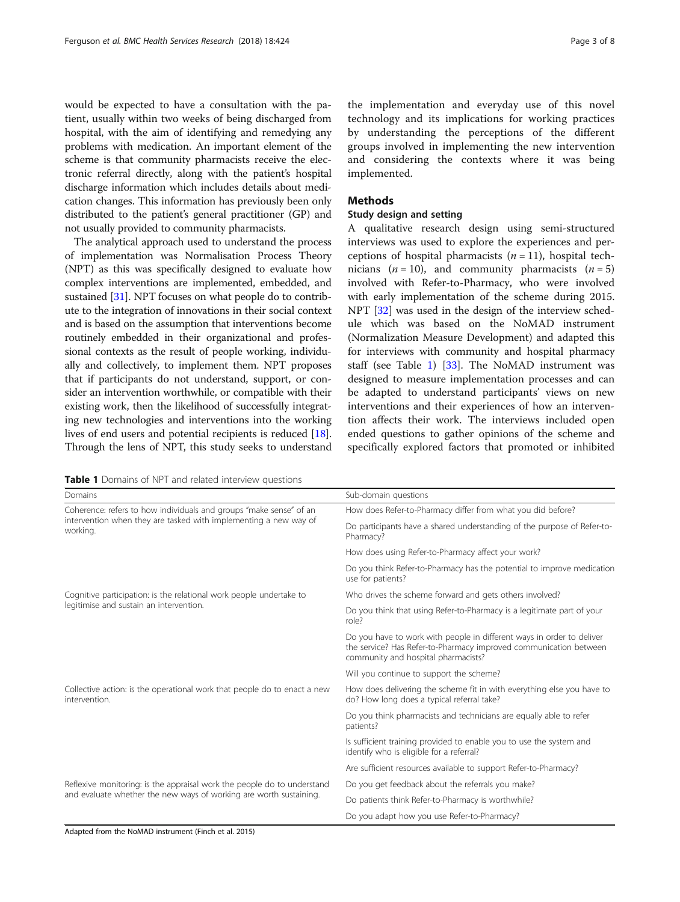would be expected to have a consultation with the patient, usually within two weeks of being discharged from hospital, with the aim of identifying and remedying any problems with medication. An important element of the scheme is that community pharmacists receive the electronic referral directly, along with the patient's hospital discharge information which includes details about medication changes. This information has previously been only distributed to the patient's general practitioner (GP) and not usually provided to community pharmacists.

The analytical approach used to understand the process of implementation was Normalisation Process Theory (NPT) as this was specifically designed to evaluate how complex interventions are implemented, embedded, and sustained [[31](#page-7-0)]. NPT focuses on what people do to contribute to the integration of innovations in their social context and is based on the assumption that interventions become routinely embedded in their organizational and professional contexts as the result of people working, individually and collectively, to implement them. NPT proposes that if participants do not understand, support, or consider an intervention worthwhile, or compatible with their existing work, then the likelihood of successfully integrating new technologies and interventions into the working lives of end users and potential recipients is reduced [[18](#page-6-0)]. Through the lens of NPT, this study seeks to understand

Table 1 Domains of NPT and related interview questions

the implementation and everyday use of this novel technology and its implications for working practices by understanding the perceptions of the different groups involved in implementing the new intervention and considering the contexts where it was being implemented.

# Methods

# Study design and setting

A qualitative research design using semi-structured interviews was used to explore the experiences and perceptions of hospital pharmacists  $(n = 11)$ , hospital technicians ( $n = 10$ ), and community pharmacists ( $n = 5$ ) involved with Refer-to-Pharmacy, who were involved with early implementation of the scheme during 2015. NPT [[32\]](#page-7-0) was used in the design of the interview schedule which was based on the NoMAD instrument (Normalization Measure Development) and adapted this for interviews with community and hospital pharmacy staff (see Table 1) [[33\]](#page-7-0). The NoMAD instrument was designed to measure implementation processes and can be adapted to understand participants' views on new interventions and their experiences of how an intervention affects their work. The interviews included open ended questions to gather opinions of the scheme and specifically explored factors that promoted or inhibited

| Domains                                                                                                                                            | Sub-domain questions                                                                                                                                                              |
|----------------------------------------------------------------------------------------------------------------------------------------------------|-----------------------------------------------------------------------------------------------------------------------------------------------------------------------------------|
| Coherence: refers to how individuals and groups "make sense" of an<br>intervention when they are tasked with implementing a new way of<br>working. | How does Refer-to-Pharmacy differ from what you did before?                                                                                                                       |
|                                                                                                                                                    | Do participants have a shared understanding of the purpose of Refer-to-<br>Pharmacy?                                                                                              |
|                                                                                                                                                    | How does using Refer-to-Pharmacy affect your work?                                                                                                                                |
|                                                                                                                                                    | Do you think Refer-to-Pharmacy has the potential to improve medication<br>use for patients?                                                                                       |
| Cognitive participation: is the relational work people undertake to<br>legitimise and sustain an intervention.                                     | Who drives the scheme forward and gets others involved?                                                                                                                           |
|                                                                                                                                                    | Do you think that using Refer-to-Pharmacy is a legitimate part of your<br>role?                                                                                                   |
|                                                                                                                                                    | Do you have to work with people in different ways in order to deliver<br>the service? Has Refer-to-Pharmacy improved communication between<br>community and hospital pharmacists? |
|                                                                                                                                                    | Will you continue to support the scheme?                                                                                                                                          |
| Collective action: is the operational work that people do to enact a new<br>intervention.                                                          | How does delivering the scheme fit in with everything else you have to<br>do? How long does a typical referral take?                                                              |
|                                                                                                                                                    | Do you think pharmacists and technicians are equally able to refer<br>patients?                                                                                                   |
|                                                                                                                                                    | Is sufficient training provided to enable you to use the system and<br>identify who is eligible for a referral?                                                                   |
|                                                                                                                                                    | Are sufficient resources available to support Refer-to-Pharmacy?                                                                                                                  |
| Reflexive monitoring: is the appraisal work the people do to understand<br>and evaluate whether the new ways of working are worth sustaining.      | Do you get feedback about the referrals you make?                                                                                                                                 |
|                                                                                                                                                    | Do patients think Refer-to-Pharmacy is worthwhile?                                                                                                                                |
|                                                                                                                                                    | Do you adapt how you use Refer-to-Pharmacy?                                                                                                                                       |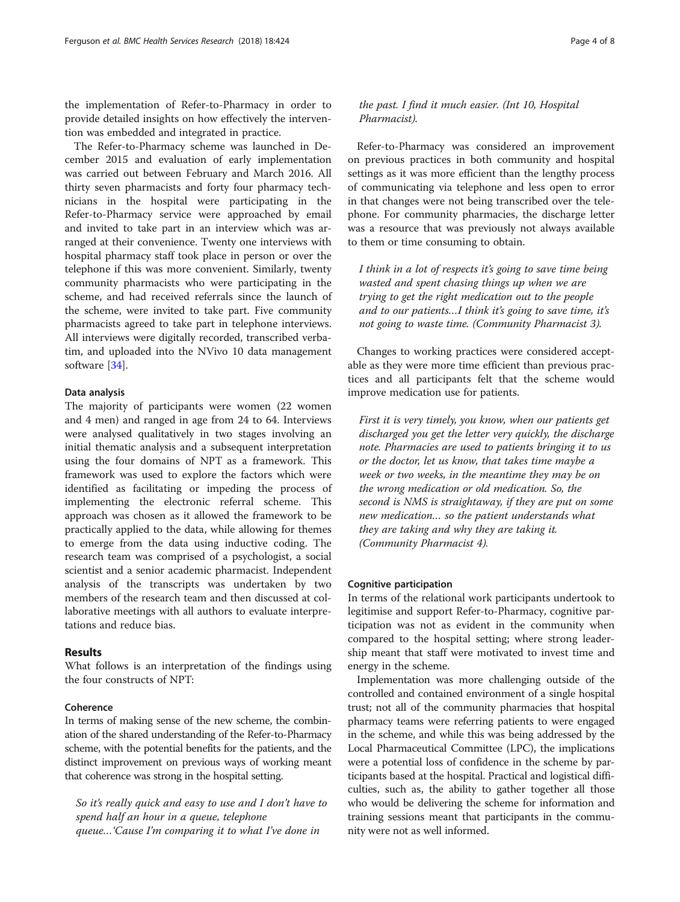the implementation of Refer-to-Pharmacy in order to provide detailed insights on how effectively the intervention was embedded and integrated in practice.

The Refer-to-Pharmacy scheme was launched in December 2015 and evaluation of early implementation was carried out between February and March 2016. All thirty seven pharmacists and forty four pharmacy technicians in the hospital were participating in the Refer-to-Pharmacy service were approached by email and invited to take part in an interview which was arranged at their convenience. Twenty one interviews with hospital pharmacy staff took place in person or over the telephone if this was more convenient. Similarly, twenty community pharmacists who were participating in the scheme, and had received referrals since the launch of the scheme, were invited to take part. Five community pharmacists agreed to take part in telephone interviews. All interviews were digitally recorded, transcribed verbatim, and uploaded into the NVivo 10 data management software [\[34\]](#page-7-0).

# Data analysis

The majority of participants were women (22 women and 4 men) and ranged in age from 24 to 64. Interviews were analysed qualitatively in two stages involving an initial thematic analysis and a subsequent interpretation using the four domains of NPT as a framework. This framework was used to explore the factors which were identified as facilitating or impeding the process of implementing the electronic referral scheme. This approach was chosen as it allowed the framework to be practically applied to the data, while allowing for themes to emerge from the data using inductive coding. The research team was comprised of a psychologist, a social scientist and a senior academic pharmacist. Independent analysis of the transcripts was undertaken by two members of the research team and then discussed at collaborative meetings with all authors to evaluate interpretations and reduce bias.

# **Results**

What follows is an interpretation of the findings using the four constructs of NPT:

# **Coherence**

In terms of making sense of the new scheme, the combination of the shared understanding of the Refer-to-Pharmacy scheme, with the potential benefits for the patients, and the distinct improvement on previous ways of working meant that coherence was strong in the hospital setting.

So it's really quick and easy to use and I don't have to spend half an hour in a queue, telephone queue…'Cause I'm comparing it to what I've done in

# the past. I find it much easier. (Int 10, Hospital Pharmacist).

Refer-to-Pharmacy was considered an improvement on previous practices in both community and hospital settings as it was more efficient than the lengthy process of communicating via telephone and less open to error in that changes were not being transcribed over the telephone. For community pharmacies, the discharge letter was a resource that was previously not always available to them or time consuming to obtain.

I think in a lot of respects it's going to save time being wasted and spent chasing things up when we are trying to get the right medication out to the people and to our patients…I think it's going to save time, it's not going to waste time. (Community Pharmacist 3).

Changes to working practices were considered acceptable as they were more time efficient than previous practices and all participants felt that the scheme would improve medication use for patients.

First it is very timely, you know, when our patients get discharged you get the letter very quickly, the discharge note. Pharmacies are used to patients bringing it to us or the doctor, let us know, that takes time maybe a week or two weeks, in the meantime they may be on the wrong medication or old medication. So, the second is NMS is straightaway, if they are put on some new medication… so the patient understands what they are taking and why they are taking it. (Community Pharmacist 4).

# Cognitive participation

In terms of the relational work participants undertook to legitimise and support Refer-to-Pharmacy, cognitive participation was not as evident in the community when compared to the hospital setting; where strong leadership meant that staff were motivated to invest time and energy in the scheme.

Implementation was more challenging outside of the controlled and contained environment of a single hospital trust; not all of the community pharmacies that hospital pharmacy teams were referring patients to were engaged in the scheme, and while this was being addressed by the Local Pharmaceutical Committee (LPC), the implications were a potential loss of confidence in the scheme by participants based at the hospital. Practical and logistical difficulties, such as, the ability to gather together all those who would be delivering the scheme for information and training sessions meant that participants in the community were not as well informed.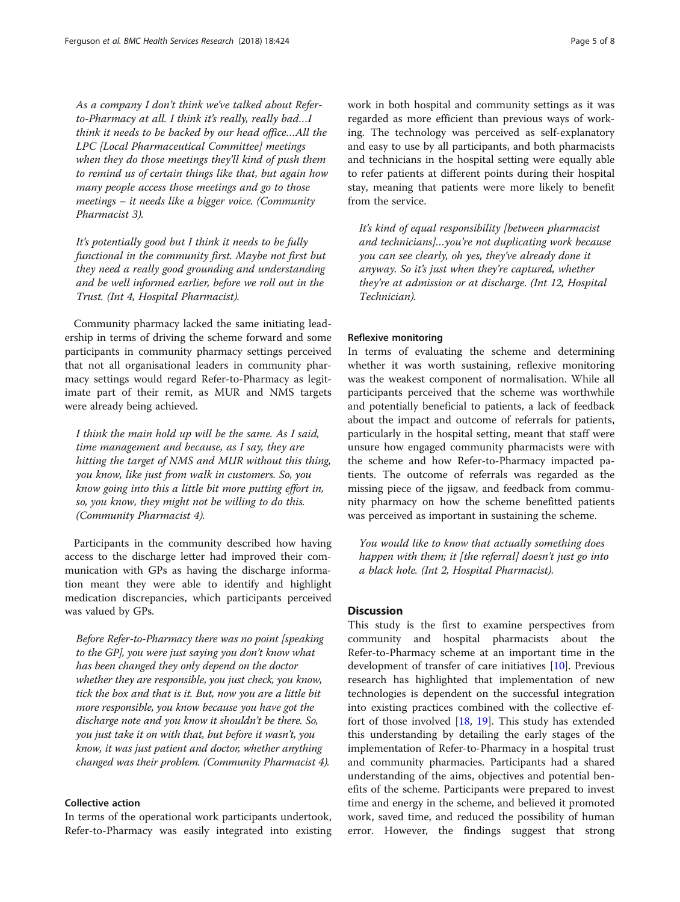As a company I don't think we've talked about Referto-Pharmacy at all. I think it's really, really bad…I think it needs to be backed by our head office…All the LPC [Local Pharmaceutical Committee] meetings when they do those meetings they'll kind of push them to remind us of certain things like that, but again how many people access those meetings and go to those meetings – it needs like a bigger voice. (Community Pharmacist 3).

It's potentially good but I think it needs to be fully functional in the community first. Maybe not first but they need a really good grounding and understanding and be well informed earlier, before we roll out in the Trust. (Int 4, Hospital Pharmacist).

Community pharmacy lacked the same initiating leadership in terms of driving the scheme forward and some participants in community pharmacy settings perceived that not all organisational leaders in community pharmacy settings would regard Refer-to-Pharmacy as legitimate part of their remit, as MUR and NMS targets were already being achieved.

I think the main hold up will be the same. As I said, time management and because, as I say, they are hitting the target of NMS and MUR without this thing, you know, like just from walk in customers. So, you know going into this a little bit more putting effort in, so, you know, they might not be willing to do this. (Community Pharmacist 4).

Participants in the community described how having access to the discharge letter had improved their communication with GPs as having the discharge information meant they were able to identify and highlight medication discrepancies, which participants perceived was valued by GPs.

Before Refer-to-Pharmacy there was no point [speaking to the GP], you were just saying you don't know what has been changed they only depend on the doctor whether they are responsible, you just check, you know, tick the box and that is it. But, now you are a little bit more responsible, you know because you have got the discharge note and you know it shouldn't be there. So, you just take it on with that, but before it wasn't, you know, it was just patient and doctor, whether anything changed was their problem. (Community Pharmacist 4).

# Collective action

In terms of the operational work participants undertook, Refer-to-Pharmacy was easily integrated into existing work in both hospital and community settings as it was regarded as more efficient than previous ways of working. The technology was perceived as self-explanatory and easy to use by all participants, and both pharmacists and technicians in the hospital setting were equally able to refer patients at different points during their hospital stay, meaning that patients were more likely to benefit from the service.

It's kind of equal responsibility [between pharmacist and technicians]…you're not duplicating work because you can see clearly, oh yes, they've already done it anyway. So it's just when they're captured, whether they're at admission or at discharge. (Int 12, Hospital Technician).

#### Reflexive monitoring

In terms of evaluating the scheme and determining whether it was worth sustaining, reflexive monitoring was the weakest component of normalisation. While all participants perceived that the scheme was worthwhile and potentially beneficial to patients, a lack of feedback about the impact and outcome of referrals for patients, particularly in the hospital setting, meant that staff were unsure how engaged community pharmacists were with the scheme and how Refer-to-Pharmacy impacted patients. The outcome of referrals was regarded as the missing piece of the jigsaw, and feedback from community pharmacy on how the scheme benefitted patients was perceived as important in sustaining the scheme.

You would like to know that actually something does happen with them; it [the referral] doesn't just go into a black hole. (Int 2, Hospital Pharmacist).

# Discussion

This study is the first to examine perspectives from community and hospital pharmacists about the Refer-to-Pharmacy scheme at an important time in the development of transfer of care initiatives [[10\]](#page-6-0). Previous research has highlighted that implementation of new technologies is dependent on the successful integration into existing practices combined with the collective effort of those involved [[18,](#page-6-0) [19](#page-6-0)]. This study has extended this understanding by detailing the early stages of the implementation of Refer-to-Pharmacy in a hospital trust and community pharmacies. Participants had a shared understanding of the aims, objectives and potential benefits of the scheme. Participants were prepared to invest time and energy in the scheme, and believed it promoted work, saved time, and reduced the possibility of human error. However, the findings suggest that strong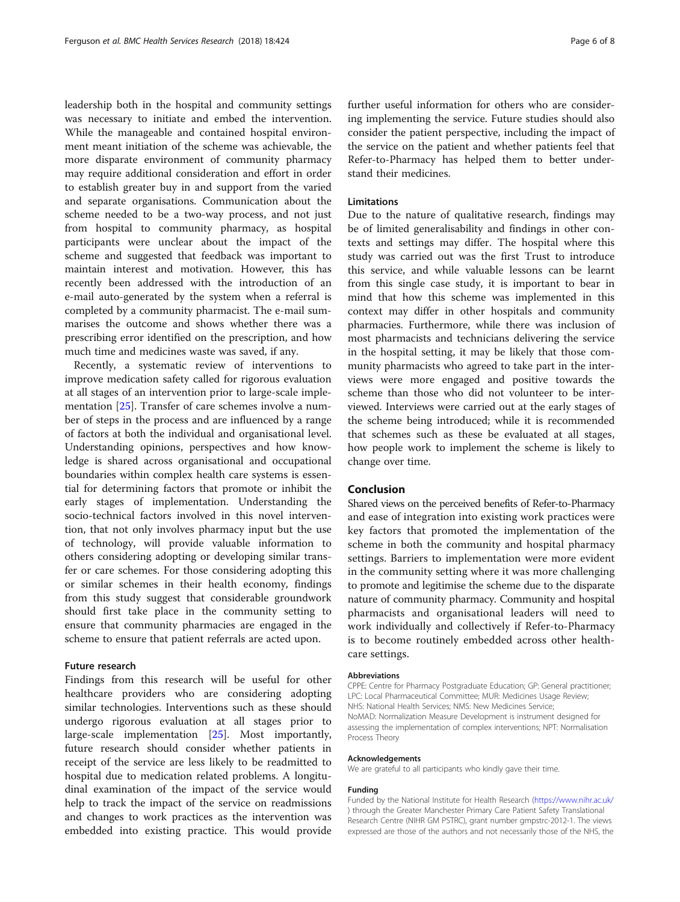leadership both in the hospital and community settings was necessary to initiate and embed the intervention. While the manageable and contained hospital environment meant initiation of the scheme was achievable, the more disparate environment of community pharmacy may require additional consideration and effort in order to establish greater buy in and support from the varied and separate organisations. Communication about the scheme needed to be a two-way process, and not just from hospital to community pharmacy, as hospital participants were unclear about the impact of the scheme and suggested that feedback was important to maintain interest and motivation. However, this has recently been addressed with the introduction of an e-mail auto-generated by the system when a referral is completed by a community pharmacist. The e-mail summarises the outcome and shows whether there was a prescribing error identified on the prescription, and how much time and medicines waste was saved, if any.

Recently, a systematic review of interventions to improve medication safety called for rigorous evaluation at all stages of an intervention prior to large-scale implementation [[25\]](#page-6-0). Transfer of care schemes involve a number of steps in the process and are influenced by a range of factors at both the individual and organisational level. Understanding opinions, perspectives and how knowledge is shared across organisational and occupational boundaries within complex health care systems is essential for determining factors that promote or inhibit the early stages of implementation. Understanding the socio-technical factors involved in this novel intervention, that not only involves pharmacy input but the use of technology, will provide valuable information to others considering adopting or developing similar transfer or care schemes. For those considering adopting this or similar schemes in their health economy, findings from this study suggest that considerable groundwork should first take place in the community setting to ensure that community pharmacies are engaged in the scheme to ensure that patient referrals are acted upon.

## Future research

Findings from this research will be useful for other healthcare providers who are considering adopting similar technologies. Interventions such as these should undergo rigorous evaluation at all stages prior to large-scale implementation [[25\]](#page-6-0). Most importantly, future research should consider whether patients in receipt of the service are less likely to be readmitted to hospital due to medication related problems. A longitudinal examination of the impact of the service would help to track the impact of the service on readmissions and changes to work practices as the intervention was embedded into existing practice. This would provide

further useful information for others who are considering implementing the service. Future studies should also consider the patient perspective, including the impact of the service on the patient and whether patients feel that Refer-to-Pharmacy has helped them to better understand their medicines.

# Limitations

Due to the nature of qualitative research, findings may be of limited generalisability and findings in other contexts and settings may differ. The hospital where this study was carried out was the first Trust to introduce this service, and while valuable lessons can be learnt from this single case study, it is important to bear in mind that how this scheme was implemented in this context may differ in other hospitals and community pharmacies. Furthermore, while there was inclusion of most pharmacists and technicians delivering the service in the hospital setting, it may be likely that those community pharmacists who agreed to take part in the interviews were more engaged and positive towards the scheme than those who did not volunteer to be interviewed. Interviews were carried out at the early stages of the scheme being introduced; while it is recommended that schemes such as these be evaluated at all stages, how people work to implement the scheme is likely to change over time.

# Conclusion

Shared views on the perceived benefits of Refer-to-Pharmacy and ease of integration into existing work practices were key factors that promoted the implementation of the scheme in both the community and hospital pharmacy settings. Barriers to implementation were more evident in the community setting where it was more challenging to promote and legitimise the scheme due to the disparate nature of community pharmacy. Community and hospital pharmacists and organisational leaders will need to work individually and collectively if Refer-to-Pharmacy is to become routinely embedded across other healthcare settings.

#### Abbreviations

CPPE: Centre for Pharmacy Postgraduate Education; GP: General practitioner; LPC: Local Pharmaceutical Committee; MUR: Medicines Usage Review; NHS: National Health Services; NMS: New Medicines Service; NoMAD: Normalization Measure Development is instrument designed for assessing the implementation of complex interventions; NPT: Normalisation Process Theory

#### Acknowledgements

We are grateful to all participants who kindly gave their time.

#### Funding

Funded by the National Institute for Health Research [\(https://www.nihr.ac.uk/](https://www.nihr.ac.uk/) ) through the Greater Manchester Primary Care Patient Safety Translational Research Centre (NIHR GM PSTRC), grant number gmpstrc-2012-1. The views expressed are those of the authors and not necessarily those of the NHS, the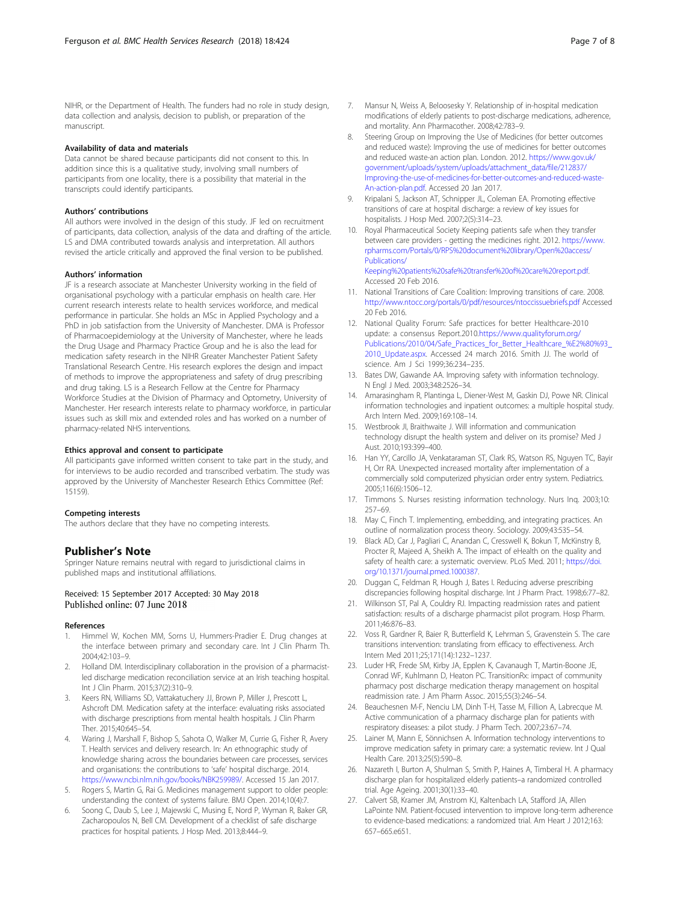<span id="page-6-0"></span>NIHR, or the Department of Health. The funders had no role in study design, data collection and analysis, decision to publish, or preparation of the manuscript.

### Availability of data and materials

Data cannot be shared because participants did not consent to this. In addition since this is a qualitative study, involving small numbers of participants from one locality, there is a possibility that material in the transcripts could identify participants.

#### Authors' contributions

All authors were involved in the design of this study. JF led on recruitment of participants, data collection, analysis of the data and drafting of the article. LS and DMA contributed towards analysis and interpretation. All authors revised the article critically and approved the final version to be published.

#### Authors' information

JF is a research associate at Manchester University working in the field of organisational psychology with a particular emphasis on health care. Her current research interests relate to health services workforce, and medical performance in particular. She holds an MSc in Applied Psychology and a PhD in job satisfaction from the University of Manchester. DMA is Professor of Pharmacoepidemiology at the University of Manchester, where he leads the Drug Usage and Pharmacy Practice Group and he is also the lead for medication safety research in the NIHR Greater Manchester Patient Safety Translational Research Centre. His research explores the design and impact of methods to improve the appropriateness and safety of drug prescribing and drug taking. LS is a Research Fellow at the Centre for Pharmacy Workforce Studies at the Division of Pharmacy and Optometry, University of Manchester. Her research interests relate to pharmacy workforce, in particular issues such as skill mix and extended roles and has worked on a number of pharmacy-related NHS interventions.

#### Ethics approval and consent to participate

All participants gave informed written consent to take part in the study, and for interviews to be audio recorded and transcribed verbatim. The study was approved by the University of Manchester Research Ethics Committee (Ref: 15159).

#### Competing interests

The authors declare that they have no competing interests.

## Publisher's Note

Springer Nature remains neutral with regard to jurisdictional claims in published maps and institutional affiliations.

# Received: 15 September 2017 Accepted: 30 May 2018<br>Published online: 07 June 2018

#### References

- Himmel W, Kochen MM, Sorns U, Hummers-Pradier E. Drug changes at the interface between primary and secondary care. Int J Clin Pharm Th. 2004;42:103–9.
- 2. Holland DM. Interdisciplinary collaboration in the provision of a pharmacistled discharge medication reconciliation service at an Irish teaching hospital. Int J Clin Pharm. 2015;37(2):310–9.
- Keers RN, Williams SD, Vattakatuchery JJ, Brown P, Miller J, Prescott L, Ashcroft DM. Medication safety at the interface: evaluating risks associated with discharge prescriptions from mental health hospitals. J Clin Pharm Ther. 2015;40:645–54.
- Waring J, Marshall F, Bishop S, Sahota O, Walker M, Currie G, Fisher R, Avery T. Health services and delivery research. In: An ethnographic study of knowledge sharing across the boundaries between care processes, services and organisations: the contributions to 'safe' hospital discharge. 2014. [https://www.ncbi.nlm.nih.gov/books/NBK259989/.](https://www.ncbi.nlm.nih.gov/books/NBK259989/) Accessed 15 Jan 2017.
- 5. Rogers S, Martin G, Rai G. Medicines management support to older people: understanding the context of systems failure. BMJ Open. 2014;10(4):7.
- 6. Soong C, Daub S, Lee J, Majewski C, Musing E, Nord P, Wyman R, Baker GR, Zacharopoulos N, Bell CM. Development of a checklist of safe discharge practices for hospital patients. J Hosp Med. 2013;8:444–9.
- 8. Steering Group on Improving the Use of Medicines (for better outcomes and reduced waste): Improving the use of medicines for better outcomes and reduced waste-an action plan. London. 2012. [https://www.gov.uk/](https://www.gov.uk/government/uploads/system/uploads/attachment_data/file/212837/Improving-the-use-of-medicines-for-better-outcomes-and-reduced-waste-An-action-plan.pdf) [government/uploads/system/uploads/attachment\\_data/file/212837/](https://www.gov.uk/government/uploads/system/uploads/attachment_data/file/212837/Improving-the-use-of-medicines-for-better-outcomes-and-reduced-waste-An-action-plan.pdf) [Improving-the-use-of-medicines-for-better-outcomes-and-reduced-waste-](https://www.gov.uk/government/uploads/system/uploads/attachment_data/file/212837/Improving-the-use-of-medicines-for-better-outcomes-and-reduced-waste-An-action-plan.pdf)[An-action-plan.pdf](https://www.gov.uk/government/uploads/system/uploads/attachment_data/file/212837/Improving-the-use-of-medicines-for-better-outcomes-and-reduced-waste-An-action-plan.pdf). Accessed 20 Jan 2017.
- 9. Kripalani S, Jackson AT, Schnipper JL, Coleman EA. Promoting effective transitions of care at hospital discharge: a review of key issues for hospitalists. J Hosp Med. 2007;2(5):314–23.
- 10. Royal Pharmaceutical Society Keeping patients safe when they transfer between care providers - getting the medicines right. 2012. [https://www.](https://www.rpharms.com/Portals/0/RPS%20document%20library/Open%20access/Publications/Keeping%20patients%20safe%20transfer%20of%20care%20report.pdf) [rpharms.com/Portals/0/RPS%20document%20library/Open%20access/](https://www.rpharms.com/Portals/0/RPS%20document%20library/Open%20access/Publications/Keeping%20patients%20safe%20transfer%20of%20care%20report.pdf) [Publications/](https://www.rpharms.com/Portals/0/RPS%20document%20library/Open%20access/Publications/Keeping%20patients%20safe%20transfer%20of%20care%20report.pdf) [Keeping%20patients%20safe%20transfer%20of%20care%20report.pdf.](https://www.rpharms.com/Portals/0/RPS%20document%20library/Open%20access/Publications/Keeping%20patients%20safe%20transfer%20of%20care%20report.pdf)
- Accessed 20 Feb 2016. 11. National Transitions of Care Coalition: Improving transitions of care. 2008. <http://www.ntocc.org/portals/0/pdf/resources/ntoccissuebriefs.pdf> Accessed 20 Feb 2016.
- 12. National Quality Forum: Safe practices for better Healthcare-2010 update: a consensus Report.2010.[https://www.qualityforum.org/](https://www.qualityforum.org/Publications/2010/04/Safe_Practices_for_Better_Healthcare_%E2%80%93_2010_Update.aspx) Publications/2010/04/Safe\_Practices\_for\_Better\_Healthcare\_%E2%80%93 [2010\\_Update.aspx](https://www.qualityforum.org/Publications/2010/04/Safe_Practices_for_Better_Healthcare_%E2%80%93_2010_Update.aspx). Accessed 24 march 2016. Smith JJ. The world of science. Am J Sci 1999;36:234–235.
- 13. Bates DW, Gawande AA. Improving safety with information technology. N Engl J Med. 2003;348:2526–34.
- 14. Amarasingham R, Plantinga L, Diener-West M, Gaskin DJ, Powe NR. Clinical information technologies and inpatient outcomes: a multiple hospital study. Arch Intern Med. 2009;169:108–14.
- 15. Westbrook JI, Braithwaite J. Will information and communication technology disrupt the health system and deliver on its promise? Med J Aust. 2010;193:399–400.
- 16. Han YY, Carcillo JA, Venkataraman ST, Clark RS, Watson RS, Nguyen TC, Bayir H, Orr RA. Unexpected increased mortality after implementation of a commercially sold computerized physician order entry system. Pediatrics. 2005;116(6):1506–12.
- 17. Timmons S. Nurses resisting information technology. Nurs Inq. 2003;10: 257–69.
- 18. May C, Finch T. Implementing, embedding, and integrating practices. An outline of normalization process theory. Sociology. 2009;43:535–54.
- 19. Black AD, Car J, Pagliari C, Anandan C, Cresswell K, Bokun T, McKinstry B, Procter R, Majeed A, Sheikh A. The impact of eHealth on the quality and safety of health care: a systematic overview. PLoS Med. 2011; [https://doi.](https://doi.org/10.1371/journal.pmed.1000387) [org/10.1371/journal.pmed.1000387.](https://doi.org/10.1371/journal.pmed.1000387)
- 20. Duggan C, Feldman R, Hough J, Bates I. Reducing adverse prescribing discrepancies following hospital discharge. Int J Pharm Pract. 1998;6:77–82.
- 21. Wilkinson ST, Pal A, Couldry RJ. Impacting readmission rates and patient satisfaction: results of a discharge pharmacist pilot program. Hosp Pharm. 2011;46:876–83.
- 22. Voss R, Gardner R, Baier R, Butterfield K, Lehrman S, Gravenstein S. The care transitions intervention: translating from efficacy to effectiveness. Arch Intern Med 2011;25;171(14):1232–1237.
- 23. Luder HR, Frede SM, Kirby JA, Epplen K, Cavanaugh T, Martin-Boone JE, Conrad WF, Kuhlmann D, Heaton PC. TransitionRx: impact of community pharmacy post discharge medication therapy management on hospital readmission rate. J Am Pharm Assoc. 2015;55(3):246–54.
- 24. Beauchesnen M-F, Nenciu LM, Dinh T-H, Tasse M, Fillion A, Labrecque M. Active communication of a pharmacy discharge plan for patients with respiratory diseases: a pilot study. J Pharm Tech. 2007;23:67–74.
- 25. Lainer M, Mann E, Sönnichsen A. Information technology interventions to improve medication safety in primary care: a systematic review. Int J Qual Health Care. 2013;25(5):590–8.
- 26. Nazareth I, Burton A, Shulman S, Smith P, Haines A, Timberal H. A pharmacy discharge plan for hospitalized elderly patients–a randomized controlled trial. Age Ageing. 2001;30(1):33–40.
- 27. Calvert SB, Kramer JM, Anstrom KJ, Kaltenbach LA, Stafford JA, Allen LaPointe NM. Patient-focused intervention to improve long-term adherence to evidence-based medications: a randomized trial. Am Heart J 2012;163: 657–665.e651.